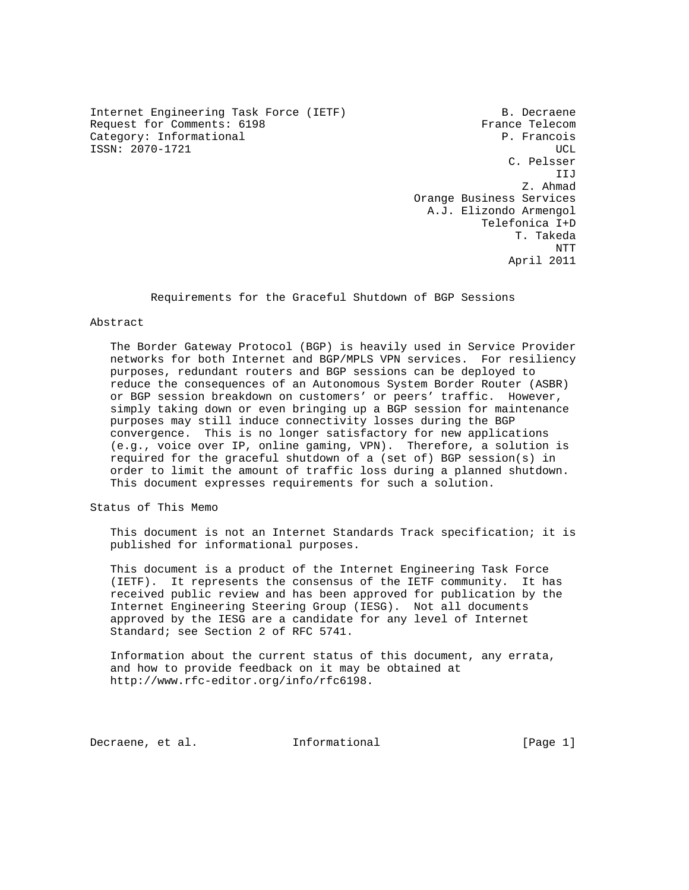Internet Engineering Task Force (IETF) B. Decraene Request for Comments: 6198 France Telecom Category: Informational example of the property of the P. Francois ISSN: 2070-1721 UCL

 C. Pelsser IIJ Z. Ahmad Orange Business Services A.J. Elizondo Armengol Telefonica I+D T. Takeda NTT April 2011

Requirements for the Graceful Shutdown of BGP Sessions

#### Abstract

 The Border Gateway Protocol (BGP) is heavily used in Service Provider networks for both Internet and BGP/MPLS VPN services. For resiliency purposes, redundant routers and BGP sessions can be deployed to reduce the consequences of an Autonomous System Border Router (ASBR) or BGP session breakdown on customers' or peers' traffic. However, simply taking down or even bringing up a BGP session for maintenance purposes may still induce connectivity losses during the BGP convergence. This is no longer satisfactory for new applications (e.g., voice over IP, online gaming, VPN). Therefore, a solution is required for the graceful shutdown of a (set of) BGP session(s) in order to limit the amount of traffic loss during a planned shutdown. This document expresses requirements for such a solution.

Status of This Memo

 This document is not an Internet Standards Track specification; it is published for informational purposes.

 This document is a product of the Internet Engineering Task Force (IETF). It represents the consensus of the IETF community. It has received public review and has been approved for publication by the Internet Engineering Steering Group (IESG). Not all documents approved by the IESG are a candidate for any level of Internet Standard; see Section 2 of RFC 5741.

 Information about the current status of this document, any errata, and how to provide feedback on it may be obtained at http://www.rfc-editor.org/info/rfc6198.

Decraene, et al. 1nformational [Page 1]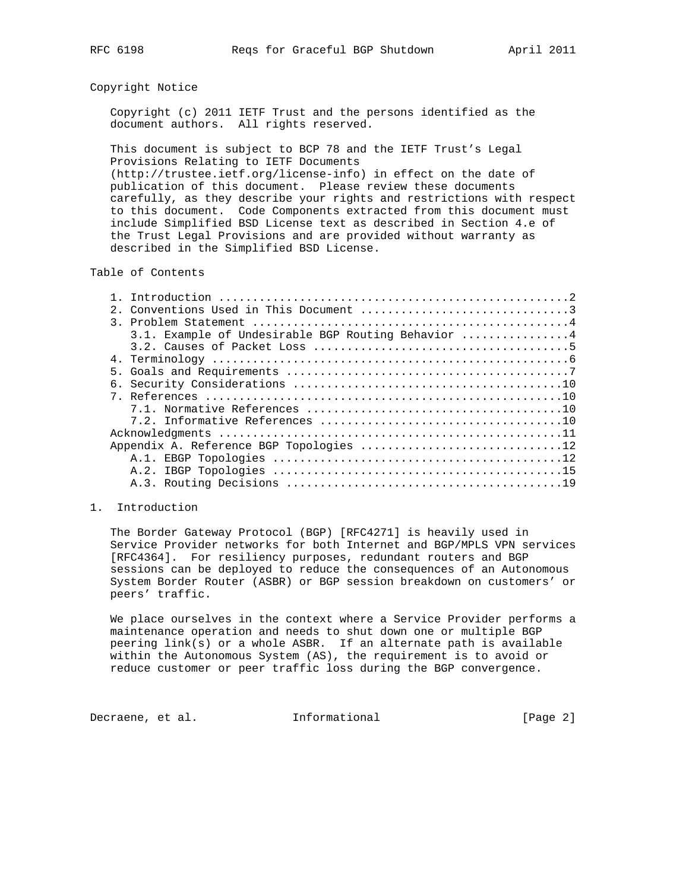### Copyright Notice

 Copyright (c) 2011 IETF Trust and the persons identified as the document authors. All rights reserved.

 This document is subject to BCP 78 and the IETF Trust's Legal Provisions Relating to IETF Documents

 (http://trustee.ietf.org/license-info) in effect on the date of publication of this document. Please review these documents carefully, as they describe your rights and restrictions with respect to this document. Code Components extracted from this document must include Simplified BSD License text as described in Section 4.e of the Trust Legal Provisions and are provided without warranty as described in the Simplified BSD License.

# Table of Contents

| 2. Conventions Used in This Document 3             |
|----------------------------------------------------|
| $\mathcal{R}$                                      |
| 3.1. Example of Undesirable BGP Routing Behavior 4 |
|                                                    |
|                                                    |
|                                                    |
|                                                    |
|                                                    |
|                                                    |
|                                                    |
|                                                    |
| Appendix A. Reference BGP Topologies 12            |
|                                                    |
|                                                    |
|                                                    |
|                                                    |

## 1. Introduction

 The Border Gateway Protocol (BGP) [RFC4271] is heavily used in Service Provider networks for both Internet and BGP/MPLS VPN services [RFC4364]. For resiliency purposes, redundant routers and BGP sessions can be deployed to reduce the consequences of an Autonomous System Border Router (ASBR) or BGP session breakdown on customers' or peers' traffic.

 We place ourselves in the context where a Service Provider performs a maintenance operation and needs to shut down one or multiple BGP peering link(s) or a whole ASBR. If an alternate path is available within the Autonomous System (AS), the requirement is to avoid or reduce customer or peer traffic loss during the BGP convergence.

Decraene, et al. 1nformational 1999 [Page 2]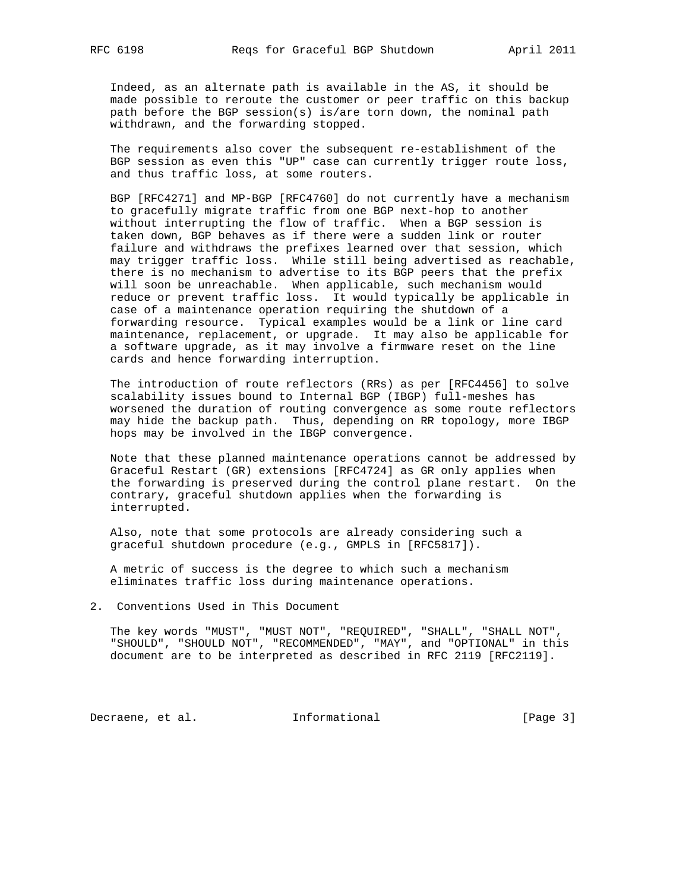Indeed, as an alternate path is available in the AS, it should be made possible to reroute the customer or peer traffic on this backup path before the BGP session(s) is/are torn down, the nominal path withdrawn, and the forwarding stopped.

 The requirements also cover the subsequent re-establishment of the BGP session as even this "UP" case can currently trigger route loss, and thus traffic loss, at some routers.

 BGP [RFC4271] and MP-BGP [RFC4760] do not currently have a mechanism to gracefully migrate traffic from one BGP next-hop to another without interrupting the flow of traffic. When a BGP session is taken down, BGP behaves as if there were a sudden link or router failure and withdraws the prefixes learned over that session, which may trigger traffic loss. While still being advertised as reachable, there is no mechanism to advertise to its BGP peers that the prefix will soon be unreachable. When applicable, such mechanism would reduce or prevent traffic loss. It would typically be applicable in case of a maintenance operation requiring the shutdown of a forwarding resource. Typical examples would be a link or line card maintenance, replacement, or upgrade. It may also be applicable for a software upgrade, as it may involve a firmware reset on the line cards and hence forwarding interruption.

 The introduction of route reflectors (RRs) as per [RFC4456] to solve scalability issues bound to Internal BGP (IBGP) full-meshes has worsened the duration of routing convergence as some route reflectors may hide the backup path. Thus, depending on RR topology, more IBGP hops may be involved in the IBGP convergence.

 Note that these planned maintenance operations cannot be addressed by Graceful Restart (GR) extensions [RFC4724] as GR only applies when the forwarding is preserved during the control plane restart. On the contrary, graceful shutdown applies when the forwarding is interrupted.

 Also, note that some protocols are already considering such a graceful shutdown procedure (e.g., GMPLS in [RFC5817]).

 A metric of success is the degree to which such a mechanism eliminates traffic loss during maintenance operations.

2. Conventions Used in This Document

 The key words "MUST", "MUST NOT", "REQUIRED", "SHALL", "SHALL NOT", "SHOULD", "SHOULD NOT", "RECOMMENDED", "MAY", and "OPTIONAL" in this document are to be interpreted as described in RFC 2119 [RFC2119].

Decraene, et al. 1nformational 1999 [Page 3]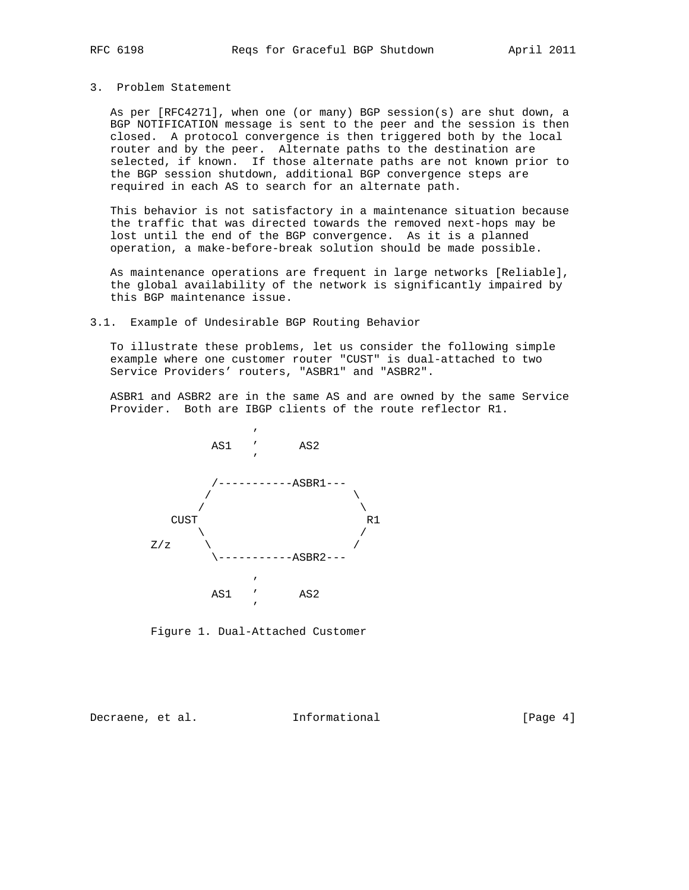#### 3. Problem Statement

 As per [RFC4271], when one (or many) BGP session(s) are shut down, a BGP NOTIFICATION message is sent to the peer and the session is then closed. A protocol convergence is then triggered both by the local router and by the peer. Alternate paths to the destination are selected, if known. If those alternate paths are not known prior to the BGP session shutdown, additional BGP convergence steps are required in each AS to search for an alternate path.

 This behavior is not satisfactory in a maintenance situation because the traffic that was directed towards the removed next-hops may be lost until the end of the BGP convergence. As it is a planned operation, a make-before-break solution should be made possible.

 As maintenance operations are frequent in large networks [Reliable], the global availability of the network is significantly impaired by this BGP maintenance issue.

3.1. Example of Undesirable BGP Routing Behavior

 To illustrate these problems, let us consider the following simple example where one customer router "CUST" is dual-attached to two Service Providers' routers, "ASBR1" and "ASBR2".

 ASBR1 and ASBR2 are in the same AS and are owned by the same Service Provider. Both are IBGP clients of the route reflector R1.



Figure 1. Dual-Attached Customer

Decraene, et al. Informational [Page 4]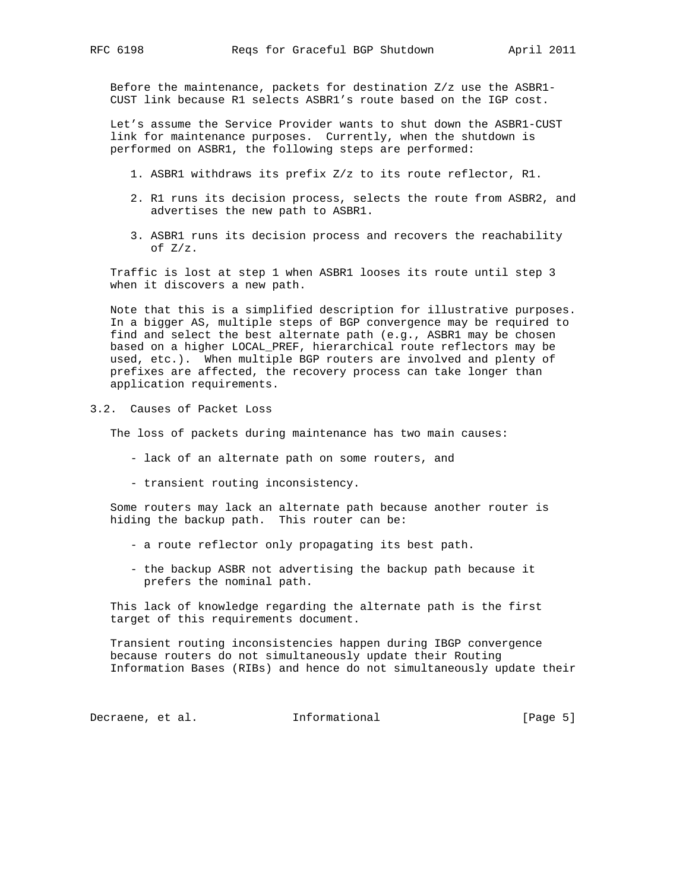Before the maintenance, packets for destination Z/z use the ASBR1- CUST link because R1 selects ASBR1's route based on the IGP cost.

 Let's assume the Service Provider wants to shut down the ASBR1-CUST link for maintenance purposes. Currently, when the shutdown is performed on ASBR1, the following steps are performed:

- 1. ASBR1 withdraws its prefix Z/z to its route reflector, R1.
- 2. R1 runs its decision process, selects the route from ASBR2, and advertises the new path to ASBR1.
- 3. ASBR1 runs its decision process and recovers the reachability of Z/z.

 Traffic is lost at step 1 when ASBR1 looses its route until step 3 when it discovers a new path.

 Note that this is a simplified description for illustrative purposes. In a bigger AS, multiple steps of BGP convergence may be required to find and select the best alternate path (e.g., ASBR1 may be chosen based on a higher LOCAL\_PREF, hierarchical route reflectors may be used, etc.). When multiple BGP routers are involved and plenty of prefixes are affected, the recovery process can take longer than application requirements.

3.2. Causes of Packet Loss

The loss of packets during maintenance has two main causes:

- lack of an alternate path on some routers, and
- transient routing inconsistency.

 Some routers may lack an alternate path because another router is hiding the backup path. This router can be:

- a route reflector only propagating its best path.
- the backup ASBR not advertising the backup path because it prefers the nominal path.

 This lack of knowledge regarding the alternate path is the first target of this requirements document.

 Transient routing inconsistencies happen during IBGP convergence because routers do not simultaneously update their Routing Information Bases (RIBs) and hence do not simultaneously update their

Decraene, et al. 1nformational 1999 [Page 5]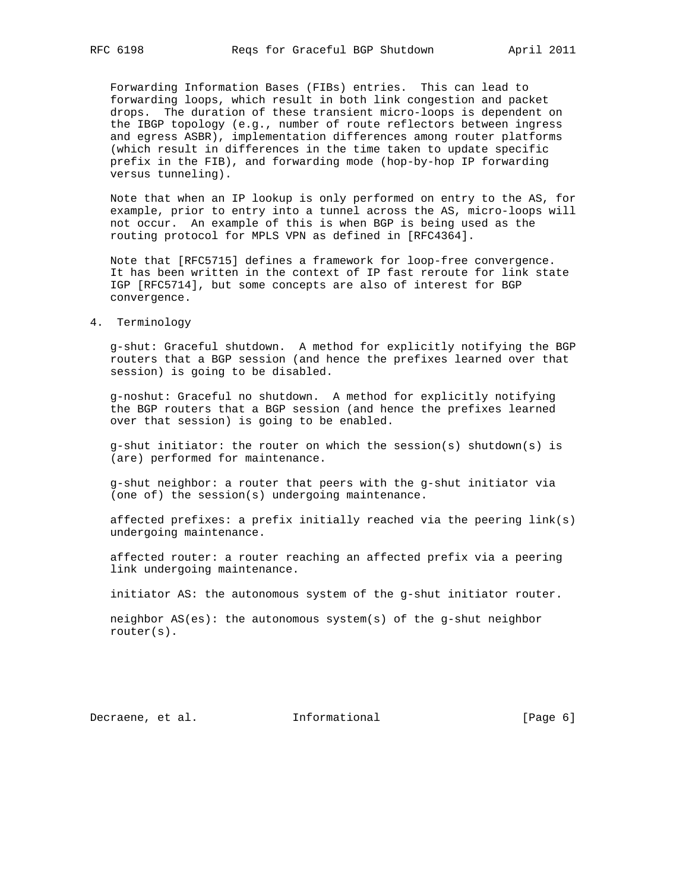Forwarding Information Bases (FIBs) entries. This can lead to forwarding loops, which result in both link congestion and packet drops. The duration of these transient micro-loops is dependent on the IBGP topology (e.g., number of route reflectors between ingress and egress ASBR), implementation differences among router platforms (which result in differences in the time taken to update specific prefix in the FIB), and forwarding mode (hop-by-hop IP forwarding versus tunneling).

 Note that when an IP lookup is only performed on entry to the AS, for example, prior to entry into a tunnel across the AS, micro-loops will not occur. An example of this is when BGP is being used as the routing protocol for MPLS VPN as defined in [RFC4364].

 Note that [RFC5715] defines a framework for loop-free convergence. It has been written in the context of IP fast reroute for link state IGP [RFC5714], but some concepts are also of interest for BGP convergence.

4. Terminology

 g-shut: Graceful shutdown. A method for explicitly notifying the BGP routers that a BGP session (and hence the prefixes learned over that session) is going to be disabled.

 g-noshut: Graceful no shutdown. A method for explicitly notifying the BGP routers that a BGP session (and hence the prefixes learned over that session) is going to be enabled.

 g-shut initiator: the router on which the session(s) shutdown(s) is (are) performed for maintenance.

 g-shut neighbor: a router that peers with the g-shut initiator via (one of) the session(s) undergoing maintenance.

 affected prefixes: a prefix initially reached via the peering link(s) undergoing maintenance.

 affected router: a router reaching an affected prefix via a peering link undergoing maintenance.

initiator AS: the autonomous system of the g-shut initiator router.

 neighbor AS(es): the autonomous system(s) of the g-shut neighbor router(s).

Decraene, et al. 1nformational 1999 [Page 6]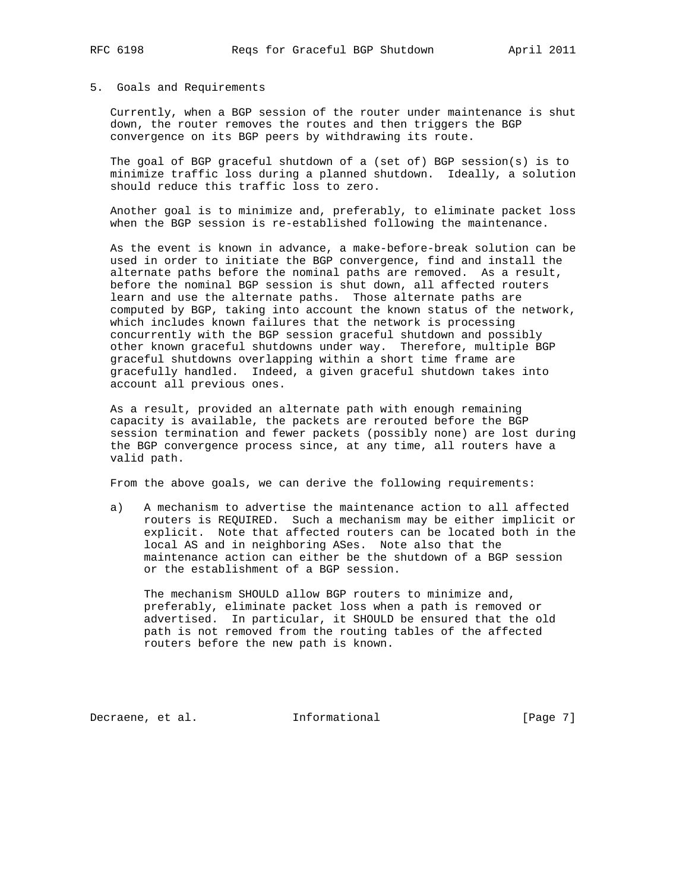#### 5. Goals and Requirements

 Currently, when a BGP session of the router under maintenance is shut down, the router removes the routes and then triggers the BGP convergence on its BGP peers by withdrawing its route.

 The goal of BGP graceful shutdown of a (set of) BGP session(s) is to minimize traffic loss during a planned shutdown. Ideally, a solution should reduce this traffic loss to zero.

 Another goal is to minimize and, preferably, to eliminate packet loss when the BGP session is re-established following the maintenance.

 As the event is known in advance, a make-before-break solution can be used in order to initiate the BGP convergence, find and install the alternate paths before the nominal paths are removed. As a result, before the nominal BGP session is shut down, all affected routers learn and use the alternate paths. Those alternate paths are computed by BGP, taking into account the known status of the network, which includes known failures that the network is processing concurrently with the BGP session graceful shutdown and possibly other known graceful shutdowns under way. Therefore, multiple BGP graceful shutdowns overlapping within a short time frame are gracefully handled. Indeed, a given graceful shutdown takes into account all previous ones.

 As a result, provided an alternate path with enough remaining capacity is available, the packets are rerouted before the BGP session termination and fewer packets (possibly none) are lost during the BGP convergence process since, at any time, all routers have a valid path.

From the above goals, we can derive the following requirements:

 a) A mechanism to advertise the maintenance action to all affected routers is REQUIRED. Such a mechanism may be either implicit or explicit. Note that affected routers can be located both in the local AS and in neighboring ASes. Note also that the maintenance action can either be the shutdown of a BGP session or the establishment of a BGP session.

 The mechanism SHOULD allow BGP routers to minimize and, preferably, eliminate packet loss when a path is removed or advertised. In particular, it SHOULD be ensured that the old path is not removed from the routing tables of the affected routers before the new path is known.

Decraene, et al. 1nformational 1999 [Page 7]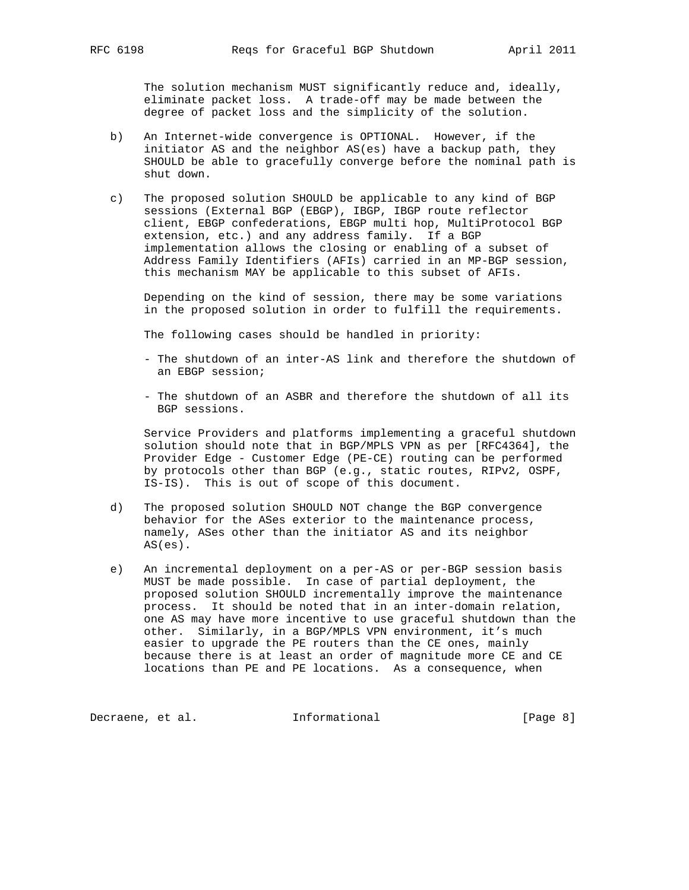The solution mechanism MUST significantly reduce and, ideally, eliminate packet loss. A trade-off may be made between the degree of packet loss and the simplicity of the solution.

- b) An Internet-wide convergence is OPTIONAL. However, if the initiator AS and the neighbor AS(es) have a backup path, they SHOULD be able to gracefully converge before the nominal path is shut down.
- c) The proposed solution SHOULD be applicable to any kind of BGP sessions (External BGP (EBGP), IBGP, IBGP route reflector client, EBGP confederations, EBGP multi hop, MultiProtocol BGP extension, etc.) and any address family. If a BGP implementation allows the closing or enabling of a subset of Address Family Identifiers (AFIs) carried in an MP-BGP session, this mechanism MAY be applicable to this subset of AFIs.

 Depending on the kind of session, there may be some variations in the proposed solution in order to fulfill the requirements.

The following cases should be handled in priority:

- The shutdown of an inter-AS link and therefore the shutdown of an EBGP session;
- The shutdown of an ASBR and therefore the shutdown of all its BGP sessions.

 Service Providers and platforms implementing a graceful shutdown solution should note that in BGP/MPLS VPN as per [RFC4364], the Provider Edge - Customer Edge (PE-CE) routing can be performed by protocols other than BGP (e.g., static routes, RIPv2, OSPF, IS-IS). This is out of scope of this document.

- d) The proposed solution SHOULD NOT change the BGP convergence behavior for the ASes exterior to the maintenance process, namely, ASes other than the initiator AS and its neighbor AS(es).
- e) An incremental deployment on a per-AS or per-BGP session basis MUST be made possible. In case of partial deployment, the proposed solution SHOULD incrementally improve the maintenance process. It should be noted that in an inter-domain relation, one AS may have more incentive to use graceful shutdown than the other. Similarly, in a BGP/MPLS VPN environment, it's much easier to upgrade the PE routers than the CE ones, mainly because there is at least an order of magnitude more CE and CE locations than PE and PE locations. As a consequence, when

Decraene, et al. 1nformational 1999 [Page 8]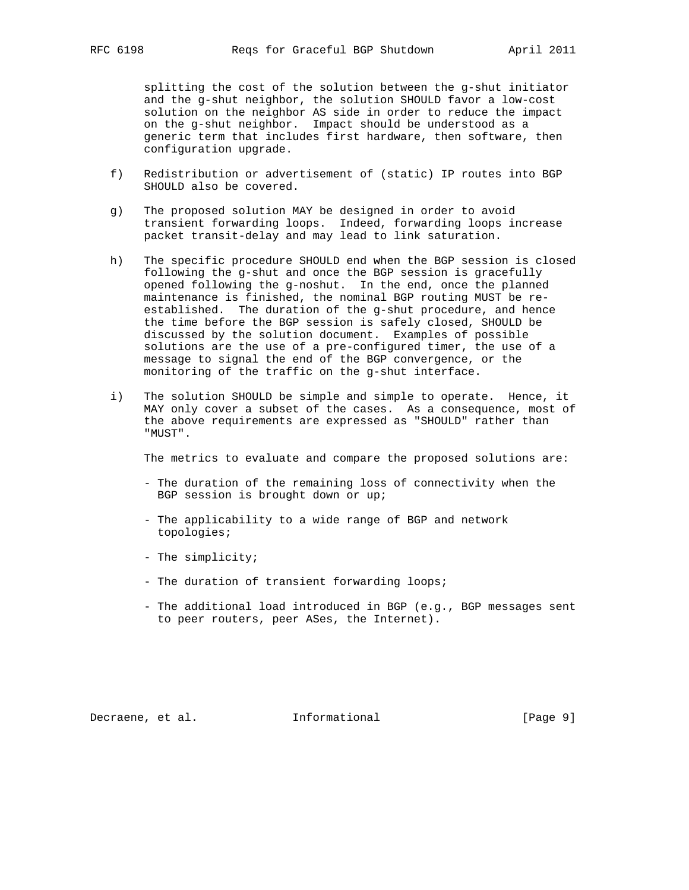splitting the cost of the solution between the g-shut initiator and the g-shut neighbor, the solution SHOULD favor a low-cost solution on the neighbor AS side in order to reduce the impact on the g-shut neighbor. Impact should be understood as a generic term that includes first hardware, then software, then configuration upgrade.

- f) Redistribution or advertisement of (static) IP routes into BGP SHOULD also be covered.
- g) The proposed solution MAY be designed in order to avoid transient forwarding loops. Indeed, forwarding loops increase packet transit-delay and may lead to link saturation.
- h) The specific procedure SHOULD end when the BGP session is closed following the g-shut and once the BGP session is gracefully opened following the g-noshut. In the end, once the planned maintenance is finished, the nominal BGP routing MUST be re established. The duration of the g-shut procedure, and hence the time before the BGP session is safely closed, SHOULD be discussed by the solution document. Examples of possible solutions are the use of a pre-configured timer, the use of a message to signal the end of the BGP convergence, or the monitoring of the traffic on the g-shut interface.
- i) The solution SHOULD be simple and simple to operate. Hence, it MAY only cover a subset of the cases. As a consequence, most of the above requirements are expressed as "SHOULD" rather than "MUST".

The metrics to evaluate and compare the proposed solutions are:

- The duration of the remaining loss of connectivity when the BGP session is brought down or up;
- The applicability to a wide range of BGP and network topologies;
- The simplicity;
- The duration of transient forwarding loops;
- The additional load introduced in BGP (e.g., BGP messages sent to peer routers, peer ASes, the Internet).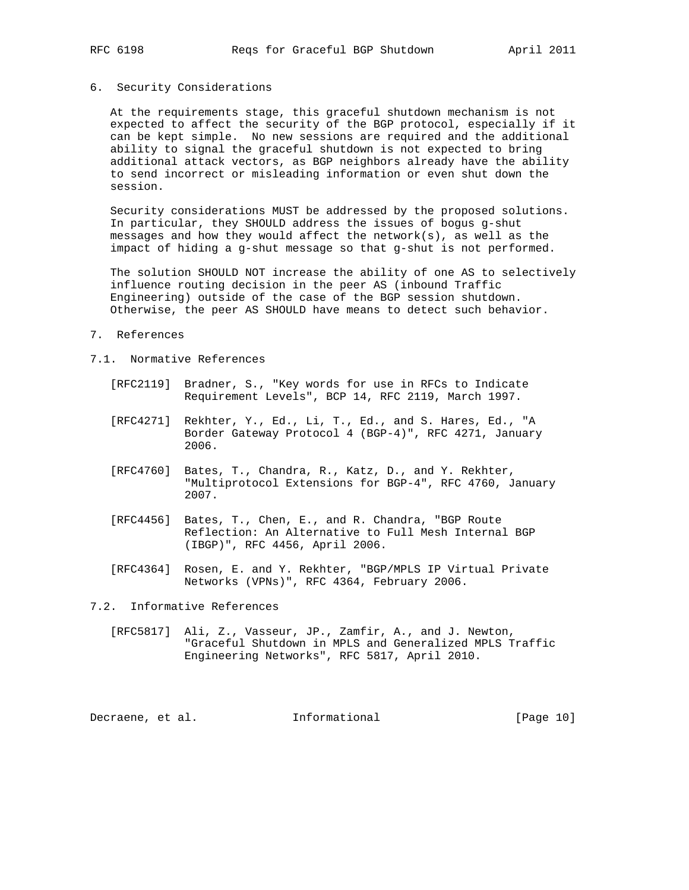## 6. Security Considerations

 At the requirements stage, this graceful shutdown mechanism is not expected to affect the security of the BGP protocol, especially if it can be kept simple. No new sessions are required and the additional ability to signal the graceful shutdown is not expected to bring additional attack vectors, as BGP neighbors already have the ability to send incorrect or misleading information or even shut down the session.

 Security considerations MUST be addressed by the proposed solutions. In particular, they SHOULD address the issues of bogus g-shut messages and how they would affect the network(s), as well as the impact of hiding a g-shut message so that g-shut is not performed.

 The solution SHOULD NOT increase the ability of one AS to selectively influence routing decision in the peer AS (inbound Traffic Engineering) outside of the case of the BGP session shutdown. Otherwise, the peer AS SHOULD have means to detect such behavior.

- 7. References
- 7.1. Normative References
	- [RFC2119] Bradner, S., "Key words for use in RFCs to Indicate Requirement Levels", BCP 14, RFC 2119, March 1997.
	- [RFC4271] Rekhter, Y., Ed., Li, T., Ed., and S. Hares, Ed., "A Border Gateway Protocol 4 (BGP-4)", RFC 4271, January 2006.
	- [RFC4760] Bates, T., Chandra, R., Katz, D., and Y. Rekhter, "Multiprotocol Extensions for BGP-4", RFC 4760, January 2007.
	- [RFC4456] Bates, T., Chen, E., and R. Chandra, "BGP Route Reflection: An Alternative to Full Mesh Internal BGP (IBGP)", RFC 4456, April 2006.
	- [RFC4364] Rosen, E. and Y. Rekhter, "BGP/MPLS IP Virtual Private Networks (VPNs)", RFC 4364, February 2006.

7.2. Informative References

 [RFC5817] Ali, Z., Vasseur, JP., Zamfir, A., and J. Newton, "Graceful Shutdown in MPLS and Generalized MPLS Traffic Engineering Networks", RFC 5817, April 2010.

Decraene, et al. 1nformational [Page 10]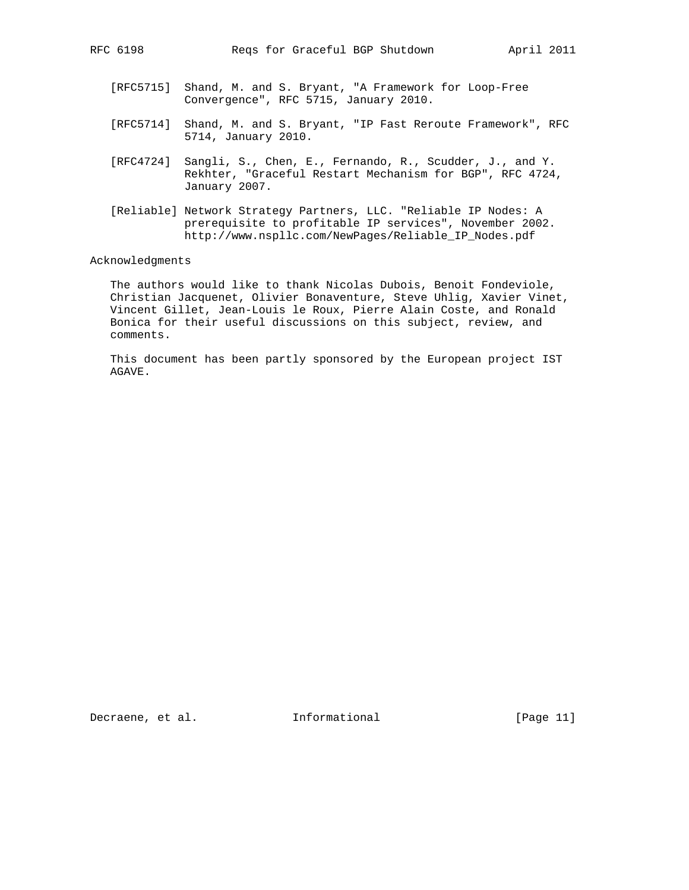- [RFC5715] Shand, M. and S. Bryant, "A Framework for Loop-Free Convergence", RFC 5715, January 2010.
- [RFC5714] Shand, M. and S. Bryant, "IP Fast Reroute Framework", RFC 5714, January 2010.
- [RFC4724] Sangli, S., Chen, E., Fernando, R., Scudder, J., and Y. Rekhter, "Graceful Restart Mechanism for BGP", RFC 4724, January 2007.
- [Reliable] Network Strategy Partners, LLC. "Reliable IP Nodes: A prerequisite to profitable IP services", November 2002. http://www.nspllc.com/NewPages/Reliable\_IP\_Nodes.pdf

#### Acknowledgments

 The authors would like to thank Nicolas Dubois, Benoit Fondeviole, Christian Jacquenet, Olivier Bonaventure, Steve Uhlig, Xavier Vinet, Vincent Gillet, Jean-Louis le Roux, Pierre Alain Coste, and Ronald Bonica for their useful discussions on this subject, review, and comments.

 This document has been partly sponsored by the European project IST AGAVE.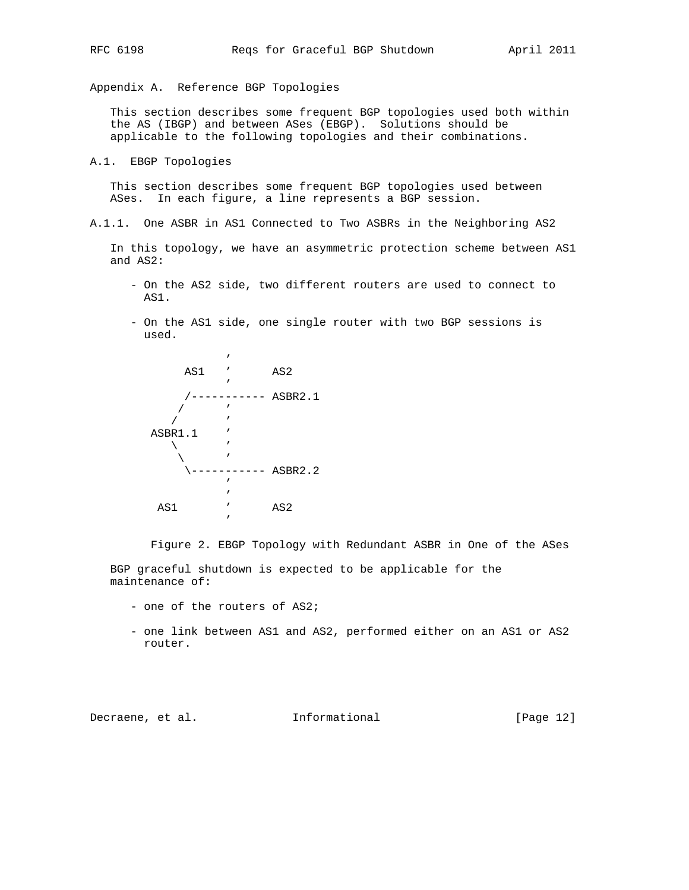Appendix A. Reference BGP Topologies

 This section describes some frequent BGP topologies used both within the AS (IBGP) and between ASes (EBGP). Solutions should be applicable to the following topologies and their combinations.

A.1. EBGP Topologies

 This section describes some frequent BGP topologies used between ASes. In each figure, a line represents a BGP session.

A.1.1. One ASBR in AS1 Connected to Two ASBRs in the Neighboring AS2

 In this topology, we have an asymmetric protection scheme between AS1 and AS2:

- On the AS2 side, two different routers are used to connect to AS1.
- On the AS1 side, one single router with two BGP sessions is used.

|     |         | ı            |                 |
|-----|---------|--------------|-----------------|
|     | AS1     | $\mathbf{r}$ | AS <sub>2</sub> |
|     |         | ,            |                 |
|     |         |              | ASBR2.1         |
|     |         | ı            |                 |
|     |         | ı            |                 |
|     | ASBR1.1 | ı            |                 |
|     |         | ı            |                 |
|     |         | ı            |                 |
|     |         |              | ASBR2.2         |
|     |         | ı            |                 |
|     |         | ı            |                 |
| AS1 |         | ı            | AS <sub>2</sub> |
|     |         | ı            |                 |
|     |         |              |                 |

Figure 2. EBGP Topology with Redundant ASBR in One of the ASes

 BGP graceful shutdown is expected to be applicable for the maintenance of:

- one of the routers of AS2;
- one link between AS1 and AS2, performed either on an AS1 or AS2 router.

Decraene, et al. 1nformational [Page 12]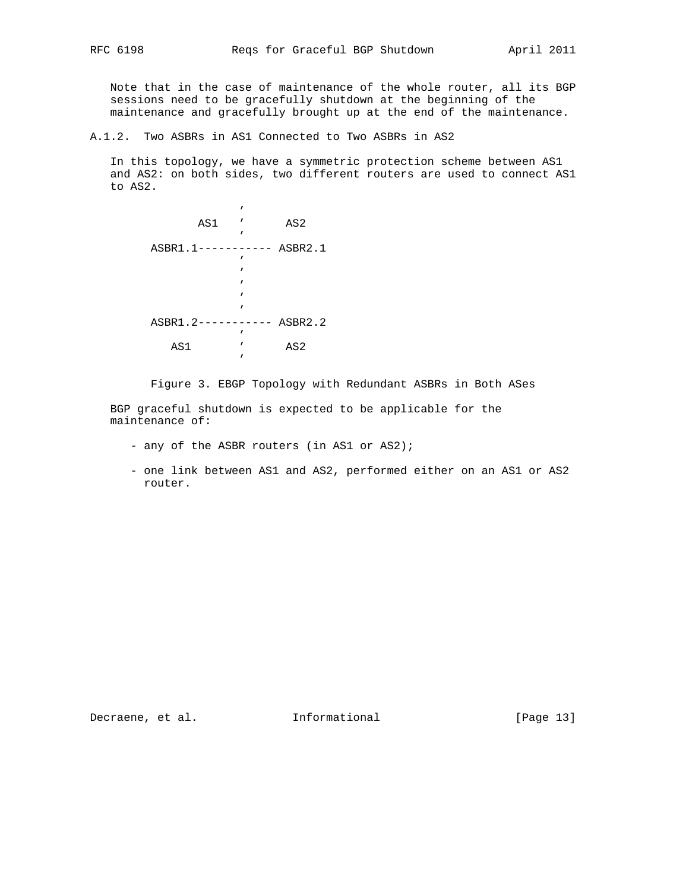Note that in the case of maintenance of the whole router, all its BGP sessions need to be gracefully shutdown at the beginning of the maintenance and gracefully brought up at the end of the maintenance.

A.1.2. Two ASBRs in AS1 Connected to Two ASBRs in AS2

 In this topology, we have a symmetric protection scheme between AS1 and AS2: on both sides, two different routers are used to connect AS1 to AS2.

|             | , |                 |
|-------------|---|-----------------|
| AS1         | , | AS <sub>2</sub> |
|             | ı |                 |
| $ASBR1.1--$ |   | ASBR2.1         |
|             | ı |                 |
|             | , |                 |
|             | ı |                 |
|             | , |                 |
|             | ı |                 |
| ASBR1.2-    |   | ASBR2.2         |
|             | , |                 |
| AS1         | , | AS <sub>2</sub> |
|             | ı |                 |
|             |   |                 |

Figure 3. EBGP Topology with Redundant ASBRs in Both ASes

 BGP graceful shutdown is expected to be applicable for the maintenance of:

- any of the ASBR routers (in AS1 or AS2);
- one link between AS1 and AS2, performed either on an AS1 or AS2 router.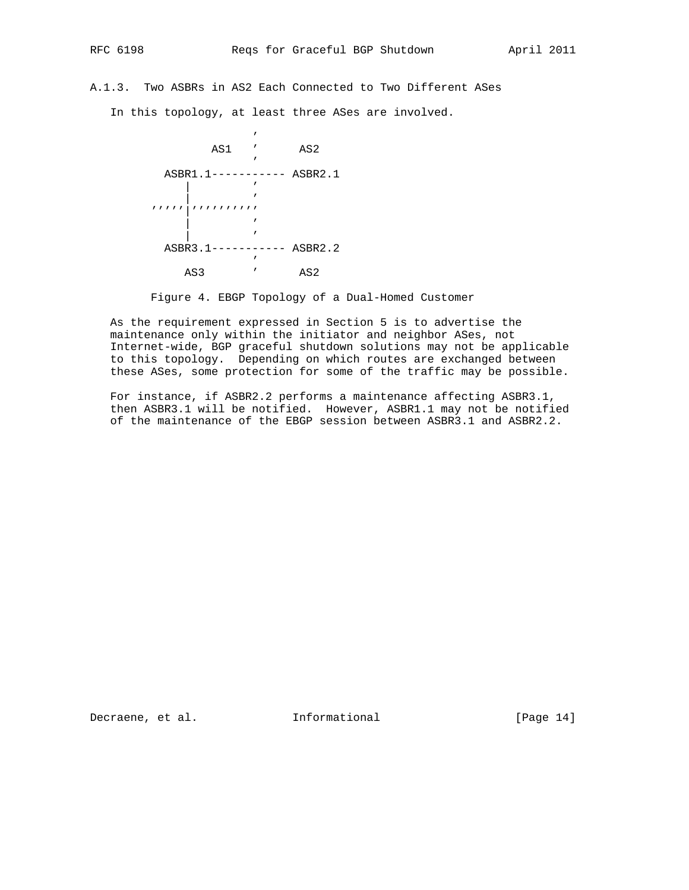A.1.3. Two ASBRs in AS2 Each Connected to Two Different ASes

In this topology, at least three ASes are involved.



Figure 4. EBGP Topology of a Dual-Homed Customer

 As the requirement expressed in Section 5 is to advertise the maintenance only within the initiator and neighbor ASes, not Internet-wide, BGP graceful shutdown solutions may not be applicable to this topology. Depending on which routes are exchanged between these ASes, some protection for some of the traffic may be possible.

 For instance, if ASBR2.2 performs a maintenance affecting ASBR3.1, then ASBR3.1 will be notified. However, ASBR1.1 may not be notified of the maintenance of the EBGP session between ASBR3.1 and ASBR2.2.

Decraene, et al. 1nformational [Page 14]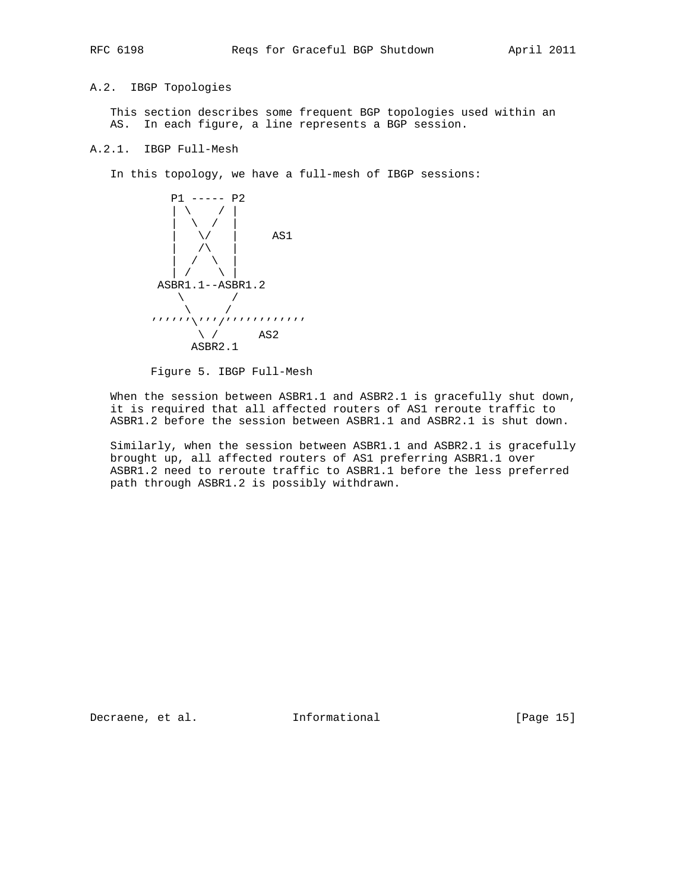A.2. IBGP Topologies

 This section describes some frequent BGP topologies used within an AS. In each figure, a line represents a BGP session.

# A.2.1. IBGP Full-Mesh

In this topology, we have a full-mesh of IBGP sessions:



Figure 5. IBGP Full-Mesh

 When the session between ASBR1.1 and ASBR2.1 is gracefully shut down, it is required that all affected routers of AS1 reroute traffic to ASBR1.2 before the session between ASBR1.1 and ASBR2.1 is shut down.

 Similarly, when the session between ASBR1.1 and ASBR2.1 is gracefully brought up, all affected routers of AS1 preferring ASBR1.1 over ASBR1.2 need to reroute traffic to ASBR1.1 before the less preferred path through ASBR1.2 is possibly withdrawn.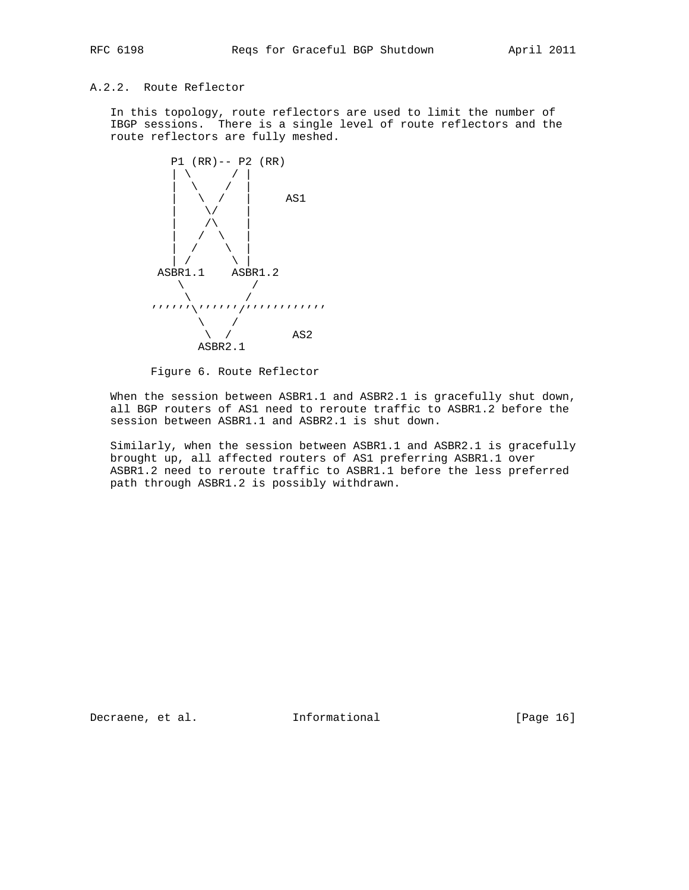# A.2.2. Route Reflector

 In this topology, route reflectors are used to limit the number of IBGP sessions. There is a single level of route reflectors and the route reflectors are fully meshed.



Figure 6. Route Reflector

 When the session between ASBR1.1 and ASBR2.1 is gracefully shut down, all BGP routers of AS1 need to reroute traffic to ASBR1.2 before the session between ASBR1.1 and ASBR2.1 is shut down.

 Similarly, when the session between ASBR1.1 and ASBR2.1 is gracefully brought up, all affected routers of AS1 preferring ASBR1.1 over ASBR1.2 need to reroute traffic to ASBR1.1 before the less preferred path through ASBR1.2 is possibly withdrawn.

Decraene, et al. 1nformational [Page 16]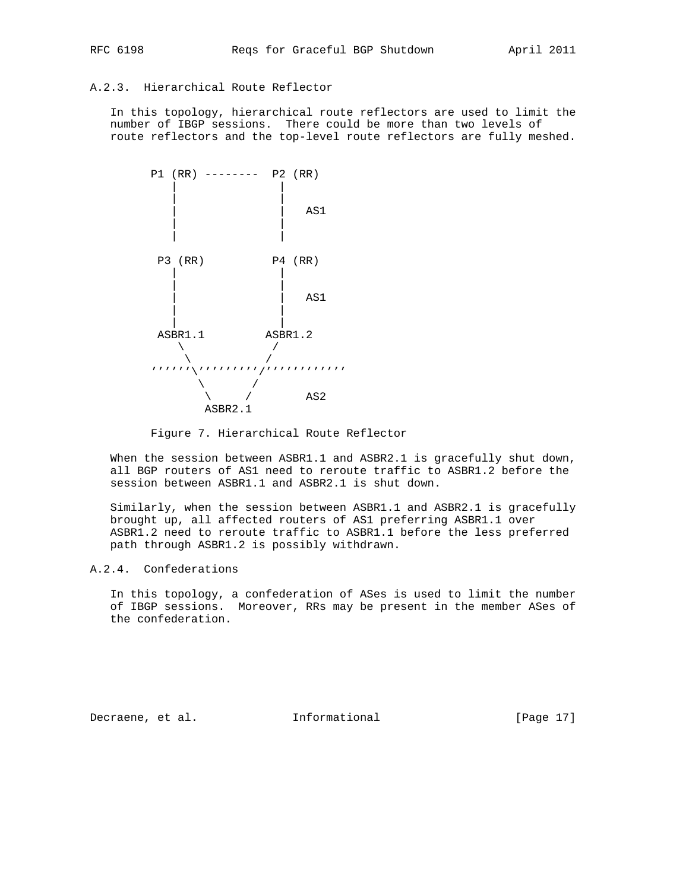# A.2.3. Hierarchical Route Reflector

 In this topology, hierarchical route reflectors are used to limit the number of IBGP sessions. There could be more than two levels of route reflectors and the top-level route reflectors are fully meshed.



Figure 7. Hierarchical Route Reflector

 When the session between ASBR1.1 and ASBR2.1 is gracefully shut down, all BGP routers of AS1 need to reroute traffic to ASBR1.2 before the session between ASBR1.1 and ASBR2.1 is shut down.

 Similarly, when the session between ASBR1.1 and ASBR2.1 is gracefully brought up, all affected routers of AS1 preferring ASBR1.1 over ASBR1.2 need to reroute traffic to ASBR1.1 before the less preferred path through ASBR1.2 is possibly withdrawn.

# A.2.4. Confederations

 In this topology, a confederation of ASes is used to limit the number of IBGP sessions. Moreover, RRs may be present in the member ASes of the confederation.

Decraene, et al. 1nformational [Page 17]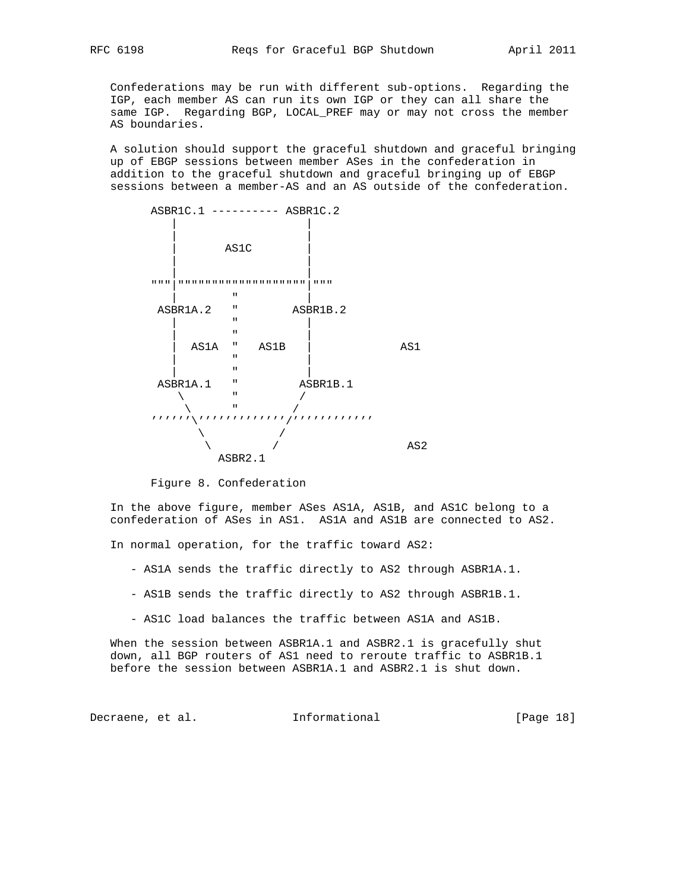Confederations may be run with different sub-options. Regarding the IGP, each member AS can run its own IGP or they can all share the same IGP. Regarding BGP, LOCAL\_PREF may or may not cross the member AS boundaries.

 A solution should support the graceful shutdown and graceful bringing up of EBGP sessions between member ASes in the confederation in addition to the graceful shutdown and graceful bringing up of EBGP sessions between a member-AS and an AS outside of the confederation.



Figure 8. Confederation

 In the above figure, member ASes AS1A, AS1B, and AS1C belong to a confederation of ASes in AS1. AS1A and AS1B are connected to AS2.

In normal operation, for the traffic toward AS2:

- AS1A sends the traffic directly to AS2 through ASBR1A.1.
- AS1B sends the traffic directly to AS2 through ASBR1B.1.
- AS1C load balances the traffic between AS1A and AS1B.

 When the session between ASBR1A.1 and ASBR2.1 is gracefully shut down, all BGP routers of AS1 need to reroute traffic to ASBR1B.1 before the session between ASBR1A.1 and ASBR2.1 is shut down.

Decraene, et al. 1nformational [Page 18]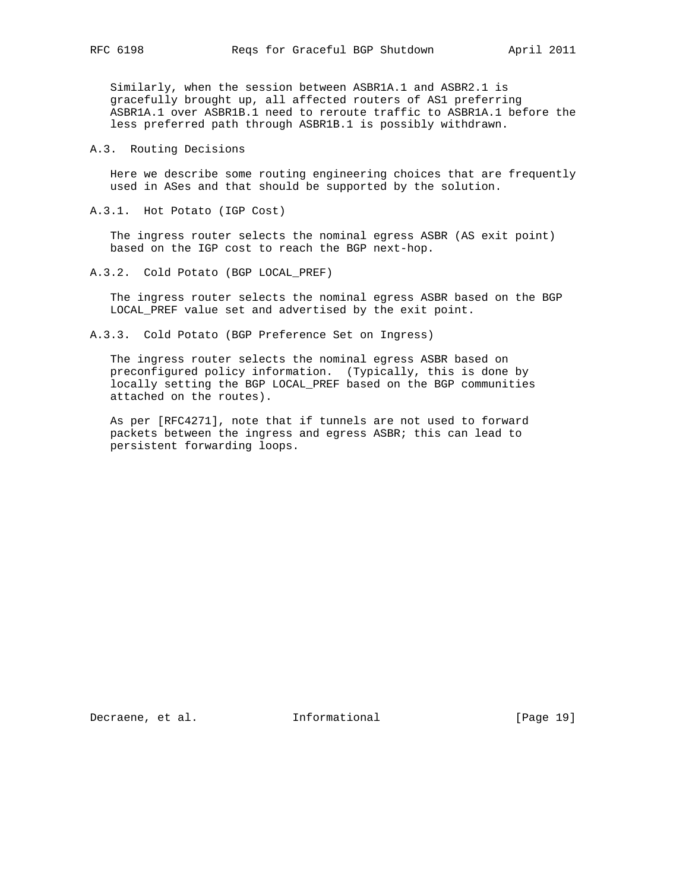Similarly, when the session between ASBR1A.1 and ASBR2.1 is gracefully brought up, all affected routers of AS1 preferring ASBR1A.1 over ASBR1B.1 need to reroute traffic to ASBR1A.1 before the less preferred path through ASBR1B.1 is possibly withdrawn.

A.3. Routing Decisions

 Here we describe some routing engineering choices that are frequently used in ASes and that should be supported by the solution.

A.3.1. Hot Potato (IGP Cost)

 The ingress router selects the nominal egress ASBR (AS exit point) based on the IGP cost to reach the BGP next-hop.

A.3.2. Cold Potato (BGP LOCAL PREF)

 The ingress router selects the nominal egress ASBR based on the BGP LOCAL\_PREF value set and advertised by the exit point.

A.3.3. Cold Potato (BGP Preference Set on Ingress)

 The ingress router selects the nominal egress ASBR based on preconfigured policy information. (Typically, this is done by locally setting the BGP LOCAL\_PREF based on the BGP communities attached on the routes).

 As per [RFC4271], note that if tunnels are not used to forward packets between the ingress and egress ASBR; this can lead to persistent forwarding loops.

Decraene, et al. 1nformational [Page 19]